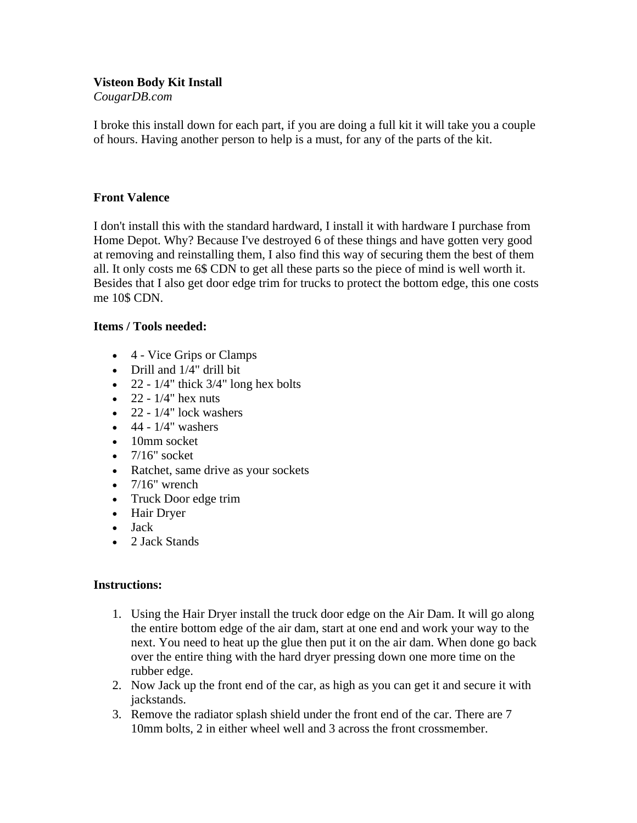## **Visteon Body Kit Install**

*CougarDB.com* 

I broke this install down for each part, if you are doing a full kit it will take you a couple of hours. Having another person to help is a must, for any of the parts of the kit.

## **Front Valence**

I don't install this with the standard hardward, I install it with hardware I purchase from Home Depot. Why? Because I've destroyed 6 of these things and have gotten very good at removing and reinstalling them, I also find this way of securing them the best of them all. It only costs me 6\$ CDN to get all these parts so the piece of mind is well worth it. Besides that I also get door edge trim for trucks to protect the bottom edge, this one costs me 10\$ CDN.

## **Items / Tools needed:**

- 4 Vice Grips or Clamps
- Drill and 1/4" drill bit
- 22  $1/4$ " thick  $3/4$ " long hex bolts
- $22 1/4$ " hex nuts
- $\bullet$  22 1/4" lock washers
- $\bullet$  44 1/4" washers
- 10mm socket
- $\bullet$  7/16" socket
- Ratchet, same drive as your sockets
- $7/16$ " wrench
- Truck Door edge trim
- Hair Dryer
- Jack
- 2 Jack Stands

## **Instructions:**

- 1. Using the Hair Dryer install the truck door edge on the Air Dam. It will go along the entire bottom edge of the air dam, start at one end and work your way to the next. You need to heat up the glue then put it on the air dam. When done go back over the entire thing with the hard dryer pressing down one more time on the rubber edge.
- 2. Now Jack up the front end of the car, as high as you can get it and secure it with jackstands.
- 3. Remove the radiator splash shield under the front end of the car. There are 7 10mm bolts, 2 in either wheel well and 3 across the front crossmember.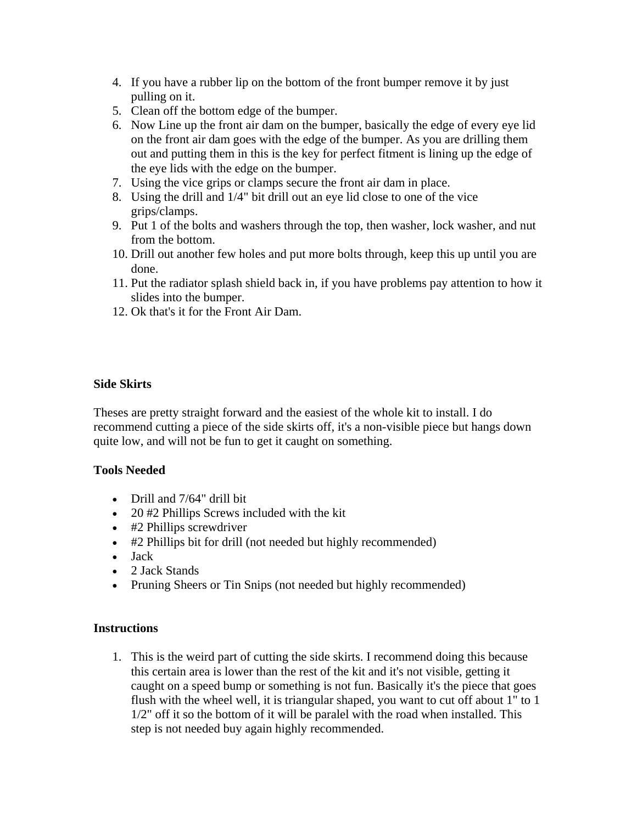- 4. If you have a rubber lip on the bottom of the front bumper remove it by just pulling on it.
- 5. Clean off the bottom edge of the bumper.
- 6. Now Line up the front air dam on the bumper, basically the edge of every eye lid on the front air dam goes with the edge of the bumper. As you are drilling them out and putting them in this is the key for perfect fitment is lining up the edge of the eye lids with the edge on the bumper.
- 7. Using the vice grips or clamps secure the front air dam in place.
- 8. Using the drill and 1/4" bit drill out an eye lid close to one of the vice grips/clamps.
- 9. Put 1 of the bolts and washers through the top, then washer, lock washer, and nut from the bottom.
- 10. Drill out another few holes and put more bolts through, keep this up until you are done.
- 11. Put the radiator splash shield back in, if you have problems pay attention to how it slides into the bumper.
- 12. Ok that's it for the Front Air Dam.

## **Side Skirts**

Theses are pretty straight forward and the easiest of the whole kit to install. I do recommend cutting a piece of the side skirts off, it's a non-visible piece but hangs down quite low, and will not be fun to get it caught on something.

#### **Tools Needed**

- Drill and 7/64" drill bit
- 20 #2 Phillips Screws included with the kit
- #2 Phillips screwdriver
- #2 Phillips bit for drill (not needed but highly recommended)
- Jack
- 2 Jack Stands
- Pruning Sheers or Tin Snips (not needed but highly recommended)

#### **Instructions**

1. This is the weird part of cutting the side skirts. I recommend doing this because this certain area is lower than the rest of the kit and it's not visible, getting it caught on a speed bump or something is not fun. Basically it's the piece that goes flush with the wheel well, it is triangular shaped, you want to cut off about 1" to 1 1/2" off it so the bottom of it will be paralel with the road when installed. This step is not needed buy again highly recommended.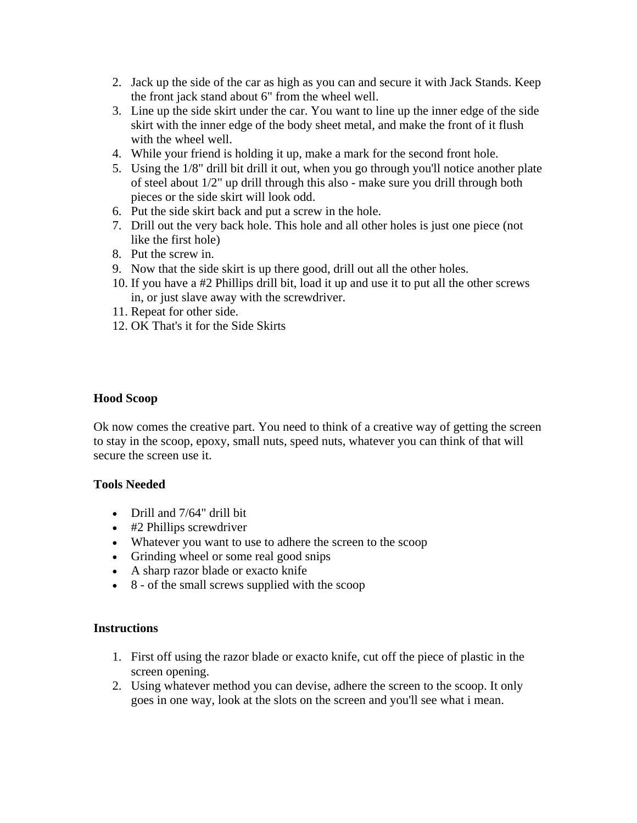- 2. Jack up the side of the car as high as you can and secure it with Jack Stands. Keep the front jack stand about 6" from the wheel well.
- 3. Line up the side skirt under the car. You want to line up the inner edge of the side skirt with the inner edge of the body sheet metal, and make the front of it flush with the wheel well.
- 4. While your friend is holding it up, make a mark for the second front hole.
- 5. Using the 1/8" drill bit drill it out, when you go through you'll notice another plate of steel about 1/2" up drill through this also - make sure you drill through both pieces or the side skirt will look odd.
- 6. Put the side skirt back and put a screw in the hole.
- 7. Drill out the very back hole. This hole and all other holes is just one piece (not like the first hole)
- 8. Put the screw in.
- 9. Now that the side skirt is up there good, drill out all the other holes.
- 10. If you have a #2 Phillips drill bit, load it up and use it to put all the other screws in, or just slave away with the screwdriver.
- 11. Repeat for other side.
- 12. OK That's it for the Side Skirts

#### **Hood Scoop**

Ok now comes the creative part. You need to think of a creative way of getting the screen to stay in the scoop, epoxy, small nuts, speed nuts, whatever you can think of that will secure the screen use it.

#### **Tools Needed**

- Drill and 7/64" drill bit
- #2 Phillips screwdriver
- Whatever you want to use to adhere the screen to the scoop
- Grinding wheel or some real good snips
- A sharp razor blade or exacto knife
- 8 of the small screws supplied with the scoop

#### **Instructions**

- 1. First off using the razor blade or exacto knife, cut off the piece of plastic in the screen opening.
- 2. Using whatever method you can devise, adhere the screen to the scoop. It only goes in one way, look at the slots on the screen and you'll see what i mean.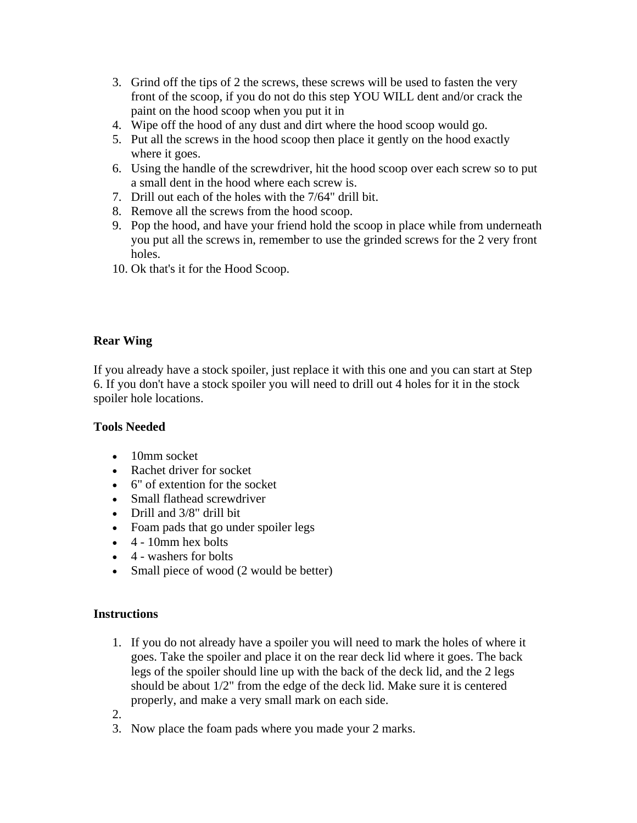- 3. Grind off the tips of 2 the screws, these screws will be used to fasten the very front of the scoop, if you do not do this step YOU WILL dent and/or crack the paint on the hood scoop when you put it in
- 4. Wipe off the hood of any dust and dirt where the hood scoop would go.
- 5. Put all the screws in the hood scoop then place it gently on the hood exactly where it goes.
- 6. Using the handle of the screwdriver, hit the hood scoop over each screw so to put a small dent in the hood where each screw is.
- 7. Drill out each of the holes with the 7/64" drill bit.
- 8. Remove all the screws from the hood scoop.
- 9. Pop the hood, and have your friend hold the scoop in place while from underneath you put all the screws in, remember to use the grinded screws for the 2 very front holes.
- 10. Ok that's it for the Hood Scoop.

# **Rear Wing**

If you already have a stock spoiler, just replace it with this one and you can start at Step 6. If you don't have a stock spoiler you will need to drill out 4 holes for it in the stock spoiler hole locations.

## **Tools Needed**

- 10mm socket
- Rachet driver for socket
- 6" of extention for the socket
- Small flathead screwdriver
- Drill and 3/8" drill bit
- Foam pads that go under spoiler legs
- 4 10mm hex bolts
- 4 washers for bolts
- Small piece of wood (2 would be better)

## **Instructions**

1. If you do not already have a spoiler you will need to mark the holes of where it goes. Take the spoiler and place it on the rear deck lid where it goes. The back legs of the spoiler should line up with the back of the deck lid, and the 2 legs should be about 1/2" from the edge of the deck lid. Make sure it is centered properly, and make a very small mark on each side.

2.

3. Now place the foam pads where you made your 2 marks.